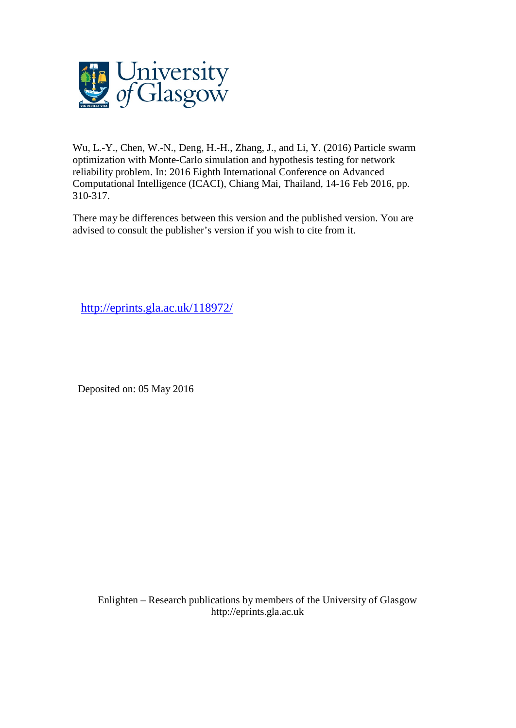

Wu, L.-Y., Chen, W.-N., Deng, H.-H., Zhang, J., and Li, Y. (2016) Particle swarm optimization with Monte-Carlo simulation and hypothesis testing for network reliability problem. In: 2016 Eighth International Conference on Advanced Computational Intelligence (ICACI), Chiang Mai, Thailand, 14-16 Feb 2016, pp. 310-317.

There may be differences between this version and the published version. You are advised to consult the publisher's version if you wish to cite from it.

<http://eprints.gla.ac.uk/118972/>

Deposited on: 05 May 2016

Enlighten – Research publications by members of the University of Glasgo[w](http://eprints.gla.ac.uk/) [http://eprints.gla.ac.uk](http://eprints.gla.ac.uk/)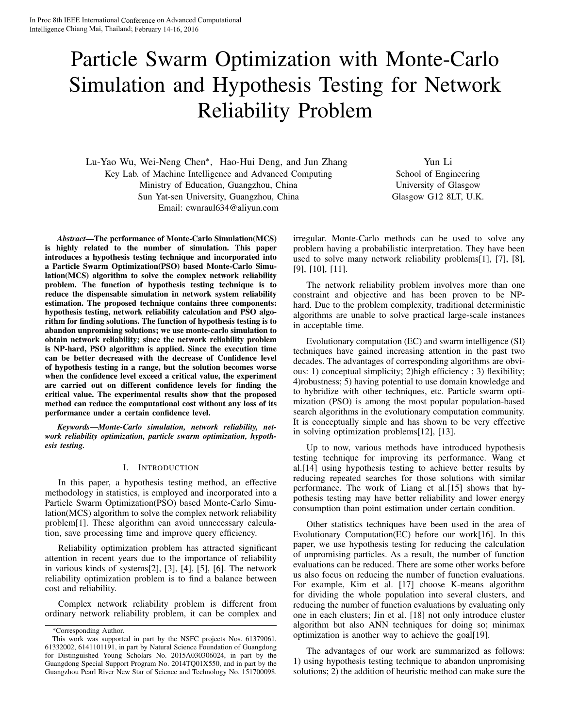# Particle Swarm Optimization with Monte-Carlo Simulation and Hypothesis Testing for Network Reliability Problem

Lu-Yao Wu, Wei-Neng Chen<sup>∗</sup> , Hao-Hui Deng, and Jun Zhang Key Lab. of Machine Intelligence and Advanced Computing Ministry of Education, Guangzhou, China Sun Yat-sen University, Guangzhou, China Email: cwnraul634@aliyun.com

Yun Li School of Engineering University of Glasgow Glasgow G12 8LT, U.K.

*Abstract*—The performance of Monte-Carlo Simulation(MCS) is highly related to the number of simulation. This paper introduces a hypothesis testing technique and incorporated into a Particle Swarm Optimization(PSO) based Monte-Carlo Simulation(MCS) algorithm to solve the complex network reliability problem. The function of hypothesis testing technique is to reduce the dispensable simulation in network system reliability estimation. The proposed technique contains three components: hypothesis testing, network reliability calculation and PSO algorithm for finding solutions. The function of hypothesis testing is to abandon unpromising solutions; we use monte-carlo simulation to obtain network reliability; since the network reliability problem is NP-hard, PSO algorithm is applied. Since the execution time can be better decreased with the decrease of Confidence level of hypothesis testing in a range, but the solution becomes worse when the confidence level exceed a critical value, the experiment are carried out on different confidence levels for finding the critical value. The experimental results show that the proposed method can reduce the computational cost without any loss of its performance under a certain confidence level.

*Keywords*—*Monte-Carlo simulation, network reliability, network reliability optimization, particle swarm optimization, hypothesis testing.*

## I. INTRODUCTION

In this paper, a hypothesis testing method, an effective methodology in statistics, is employed and incorporated into a Particle Swarm Optimization(PSO) based Monte-Carlo Simulation(MCS) algorithm to solve the complex network reliability problem[1]. These algorithm can avoid unnecessary calculation, save processing time and improve query efficiency.

Reliability optimization problem has attracted significant attention in recent years due to the importance of reliability in various kinds of systems[2], [3], [4], [5], [6]. The network reliability optimization problem is to find a balance between cost and reliability.

Complex network reliability problem is different from ordinary network reliability problem, it can be complex and irregular. Monte-Carlo methods can be used to solve any problem having a probabilistic interpretation. They have been used to solve many network reliability problems[1], [7], [8], [9], [10], [11].

The network reliability problem involves more than one constraint and objective and has been proven to be NPhard. Due to the problem complexity, traditional deterministic algorithms are unable to solve practical large-scale instances in acceptable time.

Evolutionary computation (EC) and swarm intelligence (SI) techniques have gained increasing attention in the past two decades. The advantages of corresponding algorithms are obvious: 1) conceptual simplicity; 2)high efficiency ; 3) flexibility; 4)robustness; 5) having potential to use domain knowledge and to hybridize with other techniques, etc. Particle swarm optimization (PSO) is among the most popular population-based search algorithms in the evolutionary computation community. It is conceptually simple and has shown to be very effective in solving optimization problems[12], [13].

Up to now, various methods have introduced hypothesis testing technique for improving its performance. Wang et al.[14] using hypothesis testing to achieve better results by reducing repeated searches for those solutions with similar performance. The work of Liang et al.[15] shows that hypothesis testing may have better reliability and lower energy consumption than point estimation under certain condition.

Other statistics techniques have been used in the area of Evolutionary Computation(EC) before our work[16]. In this paper, we use hypothesis testing for reducing the calculation of unpromising particles. As a result, the number of function evaluations can be reduced. There are some other works before us also focus on reducing the number of function evaluations. For example, Kim et al. [17] choose K-means algorithm for dividing the whole population into several clusters, and reducing the number of function evaluations by evaluating only one in each clusters; Jin et al. [18] not only introduce cluster algorithm but also ANN techniques for doing so; minimax optimization is another way to achieve the goal[19].

The advantages of our work are summarized as follows: 1) using hypothesis testing technique to abandon unpromising solutions; 2) the addition of heuristic method can make sure the

<sup>\*</sup>Corresponding Author.

This work was supported in part by the NSFC projects Nos. 61379061, 61332002, 6141101191, in part by Natural Science Foundation of Guangdong for Distinguished Young Scholars No. 2015A030306024, in part by the Guangdong Special Support Program No. 2014TQ01X550, and in part by the Guangzhou Pearl River New Star of Science and Technology No. 151700098.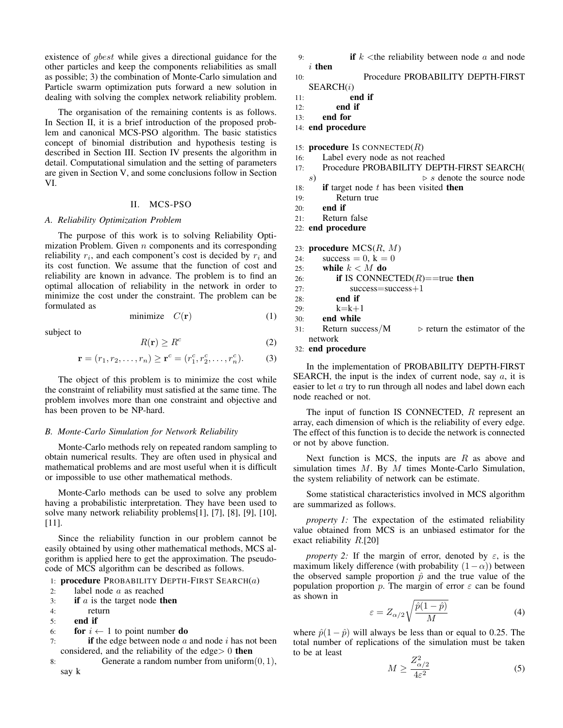existence of *gbest* while gives a directional guidance for the other particles and keep the components reliabilities as small as possible; 3) the combination of Monte-Carlo simulation and Particle swarm optimization puts forward a new solution in dealing with solving the complex network reliability problem.

The organisation of the remaining contents is as follows. In Section II, it is a brief introduction of the proposed problem and canonical MCS-PSO algorithm. The basic statistics concept of binomial distribution and hypothesis testing is described in Section III. Section IV presents the algorithm in detail. Computational simulation and the setting of parameters are given in Section V, and some conclusions follow in Section VI.

## II. MCS-PSO

#### *A. Reliability Optimization Problem*

The purpose of this work is to solving Reliability Optimization Problem. Given  $n$  components and its corresponding reliability  $r_i$ , and each component's cost is decided by  $r_i$  and its cost function. We assume that the function of cost and reliability are known in advance. The problem is to find an optimal allocation of reliability in the network in order to minimize the cost under the constraint. The problem can be formulated as

$$
\text{minimize} \quad C(\mathbf{r}) \tag{1}
$$

$$
R({\bf r}) \geq R^c
$$

$$
\mathbf{r} = (r_1, r_2, \dots, r_n) \ge \mathbf{r}^c = (r_1^c, r_2^c, \dots, r_n^c). \tag{3}
$$

The object of this problem is to minimize the cost while the constraint of reliability must satisfied at the same time. The problem involves more than one constraint and objective and has been proven to be NP-hard.

#### *B. Monte-Carlo Simulation for Network Reliability*

Monte-Carlo methods rely on repeated random sampling to obtain numerical results. They are often used in physical and mathematical problems and are most useful when it is difficult or impossible to use other mathematical methods.

Monte-Carlo methods can be used to solve any problem having a probabilistic interpretation. They have been used to solve many network reliability problems[1], [7], [8], [9], [10], [11].

Since the reliability function in our problem cannot be easily obtained by using other mathematical methods, MCS algorithm is applied here to get the approximation. The pseudocode of MCS algorithm can be described as follows.

1: **procedure** PROBABILITY DEPTH-FIRST SEARCH $(a)$ 

- 2: label node a as reached
- 3: if  $a$  is the target node then
- 4: return

subject to

- 5: end if
- 6: **for**  $i \leftarrow 1$  to point number **do**<br>7: **if** the edge between node a
- if the edge between node  $a$  and node  $i$  has not been considered, and the reliability of the edge $> 0$  then
- 8: Generate a random number from uniform $(0, 1)$ , say k
- 9: **if**  $k$  < the reliability between node a and node i then
- 10: Procedure PROBABILITY DEPTH-FIRST  $SEARCH(i)$

11: end if

- 12: end if
- 13: end for
- 14: end procedure

15: **procedure** Is CONNECTED $(R)$ 

- 16: Label every node as not reached
- 17: Procedure PROBABILITY DEPTH-FIRST SEARCH( s)  $\triangleright s$  denote the source node
- 18: **if** target node  $t$  has been visited **then**
- 19: Return true
- 20: end if
- 21: Return false
- 22: end procedure

23: procedure  $MCS(R, M)$ 

- 24: success =  $0, k = 0$
- 25: while  $k < M$  do
- 26: **if** IS CONNECTED $(R)$ ==true then
- 27: success=success+1
- 28: end if
- 29:  $k=k+1$
- 30: end while
- 31: Return success/M  $\triangleright$  return the estimator of the network
- 32: end procedure

(2)

In the implementation of PROBABILITY DEPTH-FIRST SEARCH, the input is the index of current node, say  $a$ , it is easier to let a try to run through all nodes and label down each node reached or not.

The input of function IS CONNECTED,  $R$  represent an array, each dimension of which is the reliability of every edge. The effect of this function is to decide the network is connected or not by above function.

Next function is MCS, the inputs are  $R$  as above and simulation times M. By M times Monte-Carlo Simulation, the system reliability of network can be estimate.

Some statistical characteristics involved in MCS algorithm are summarized as follows.

*property 1:* The expectation of the estimated reliability value obtained from MCS is an unbiased estimator for the exact reliability R.[20]

*property 2:* If the margin of error, denoted by  $\varepsilon$ , is the maximum likely difference (with probability  $(1-\alpha)$ ) between the observed sample proportion  $\hat{p}$  and the true value of the population proportion p. The margin of error  $\varepsilon$  can be found as shown in

$$
\varepsilon = Z_{\alpha/2} \sqrt{\frac{\hat{p}(1-\hat{p})}{M}} \tag{4}
$$

where  $\hat{p}(1-\hat{p})$  will always be less than or equal to 0.25. The total number of replications of the simulation must be taken to be at least

$$
M \ge \frac{Z_{\alpha/2}^2}{4\varepsilon^2} \tag{5}
$$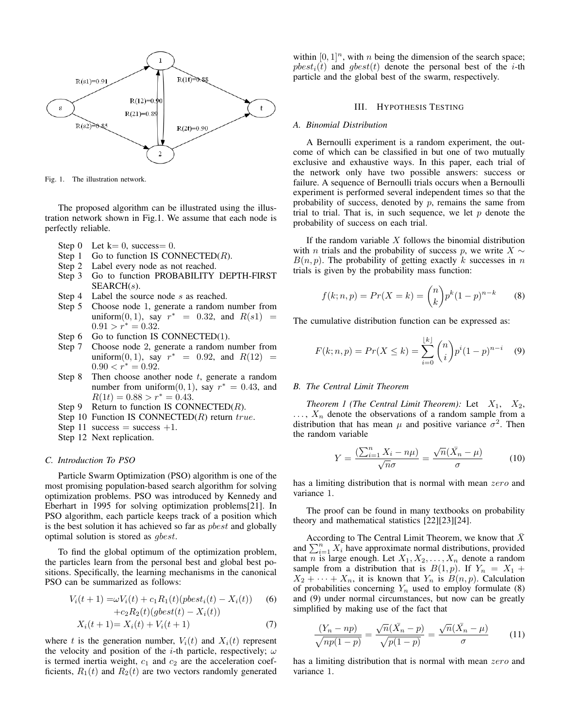

Fig. 1. The illustration network.

The proposed algorithm can be illustrated using the illustration network shown in Fig.1. We assume that each node is perfectly reliable.

Step 0 Let  $k=0$ , success= 0.

- Step 1 Go to function IS CONNECTED $(R)$ .
- Step 2 Label every node as not reached.
- Step 3 Go to function PROBABILITY DEPTH-FIRST  $SEARCH(s)$ .
- Step 4 Label the source node s as reached.
- Step 5 Choose node 1, generate a random number from uniform $(0, 1)$ , say  $r^* = 0.32$ , and  $R(s1) =$  $0.91 > r^* = 0.32$ .
- Step 6 Go to function IS CONNECTED(1).
- Step 7 Choose node 2, generate a random number from uniform $(0, 1)$ , say  $r^* = 0.92$ , and  $R(12) =$  $0.90 < r^* = 0.92$ .
- Step 8 Then choose another node  $t$ , generate a random number from uniform $(0, 1)$ , say  $r^* = 0.43$ , and  $R(1t) = 0.88 > r^* = 0.43.$
- Step 9 Return to function IS CONNECTED $(R)$ .
- Step 10 Function IS CONNECTED $(R)$  return true.
- Step 11 success = success  $+1$ .
- Step 12 Next replication.

# *C. Introduction To PSO*

Particle Swarm Optimization (PSO) algorithm is one of the most promising population-based search algorithm for solving optimization problems. PSO was introduced by Kennedy and Eberhart in 1995 for solving optimization problems[21]. In PSO algorithm, each particle keeps track of a position which is the best solution it has achieved so far as pbest and globally optimal solution is stored as gbest.

To find the global optimum of the optimization problem, the particles learn from the personal best and global best positions. Specifically, the learning mechanisms in the canonical PSO can be summarized as follows:

$$
V_i(t+1) = \omega V_i(t) + c_1 R_1(t) (pbest_i(t) - X_i(t))
$$
 (6)  
+c\_2 R\_2(t) (dbest(t) - X\_i(t))

$$
X_i(t+1) = X_i(t) + V_i(t+1)
$$
\n(7)

where t is the generation number,  $V_i(t)$  and  $X_i(t)$  represent the velocity and position of the *i*-th particle, respectively;  $\omega$ is termed inertia weight,  $c_1$  and  $c_2$  are the acceleration coefficients,  $R_1(t)$  and  $R_2(t)$  are two vectors randomly generated

within  $[0, 1]^n$ , with n being the dimension of the search space;  $pbest<sub>i</sub>(t)$  and  $qbest(t)$  denote the personal best of the *i*-th particle and the global best of the swarm, respectively.

## III. HYPOTHESIS TESTING

#### *A. Binomial Distribution*

A Bernoulli experiment is a random experiment, the outcome of which can be classified in but one of two mutually exclusive and exhaustive ways. In this paper, each trial of the network only have two possible answers: success or failure. A sequence of Bernoulli trials occurs when a Bernoulli experiment is performed several independent times so that the probability of success, denoted by  $p$ , remains the same from trial to trial. That is, in such sequence, we let  $p$  denote the probability of success on each trial.

If the random variable  $X$  follows the binomial distribution with *n* trials and the probability of success p, we write  $X \sim$  $B(n, p)$ . The probability of getting exactly k successes in n trials is given by the probability mass function:

$$
f(k; n, p) = Pr(X = k) = {n \choose k} p^{k} (1-p)^{n-k}
$$
 (8)

The cumulative distribution function can be expressed as:

$$
F(k; n, p) = Pr(X \le k) = \sum_{i=0}^{\lfloor k \rfloor} \binom{n}{i} p^i (1-p)^{n-i} \quad (9)
$$

#### *B. The Central Limit Theorem*

*Theorem 1 (The Central Limit Theorem):* Let  $X_1$ ,  $X_2$ ,  $\ldots$ ,  $X_n$  denote the observations of a random sample from a distribution that has mean  $\mu$  and positive variance  $\sigma^2$ . Then the random variable

$$
Y = \frac{\left(\sum_{i=1}^{n} X_i - n\mu\right)}{\sqrt{n}\sigma} = \frac{\sqrt{n}(\bar{X}_n - \mu)}{\sigma} \tag{10}
$$

has a limiting distribution that is normal with mean zero and variance 1.

The proof can be found in many textbooks on probability theory and mathematical statistics [22][23][24].

According to The Central Limit Theorem, we know that  $X$ and  $\sum_{i=1}^{n} X_i$  have approximate normal distributions, provided that *n* is large enough. Let  $X_1, X_2, \ldots, X_n$  denote a random sample from a distribution that is  $B(1, p)$ . If  $Y_n = X_1 +$  $X_2 + \cdots + X_n$ , it is known that  $Y_n$  is  $B(n, p)$ . Calculation of probabilities concerning  $Y_n$  used to employ formulate (8) and (9) under normal circumstances, but now can be greatly simplified by making use of the fact that

$$
\frac{(Y_n - np)}{\sqrt{np(1-p)}} = \frac{\sqrt{n}(\bar{X}_n - p)}{\sqrt{p(1-p)}} = \frac{\sqrt{n}(\bar{X}_n - \mu)}{\sigma} \tag{11}
$$

has a limiting distribution that is normal with mean zero and variance 1.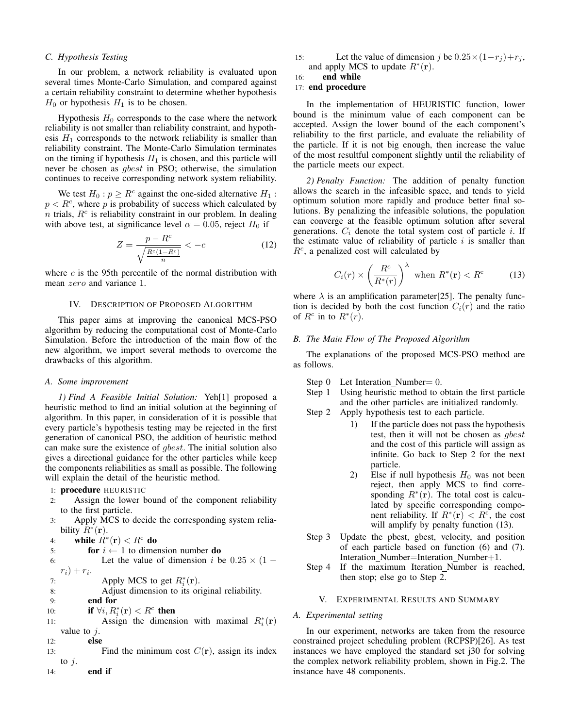## *C. Hypothesis Testing*

In our problem, a network reliability is evaluated upon several times Monte-Carlo Simulation, and compared against a certain reliability constraint to determine whether hypothesis  $H_0$  or hypothesis  $H_1$  is to be chosen.

Hypothesis  $H_0$  corresponds to the case where the network reliability is not smaller than reliability constraint, and hypothesis  $H_1$  corresponds to the network reliability is smaller than reliability constraint. The Monte-Carlo Simulation terminates on the timing if hypothesis  $H_1$  is chosen, and this particle will never be chosen as *gbest* in PSO; otherwise, the simulation continues to receive corresponding network system reliability.

We test  $H_0: p \geq R^c$  against the one-sided alternative  $H_1$ :  $p < R<sup>c</sup>$ , where p is probability of success which calculated by  $n$  trials,  $R<sup>c</sup>$  is reliability constraint in our problem. In dealing with above test, at significance level  $\alpha = 0.05$ , reject  $H_0$  if

$$
Z = \frac{p - R^c}{\sqrt{\frac{R^c(1 - R^c)}{n}}} < -c \tag{12}
$$

where  $c$  is the 95th percentile of the normal distribution with mean *zero* and variance 1.

## IV. DESCRIPTION OF PROPOSED ALGORITHM

This paper aims at improving the canonical MCS-PSO algorithm by reducing the computational cost of Monte-Carlo Simulation. Before the introduction of the main flow of the new algorithm, we import several methods to overcome the drawbacks of this algorithm.

#### *A. Some improvement*

*1) Find A Feasible Initial Solution:* Yeh[1] proposed a heuristic method to find an initial solution at the beginning of algorithm. In this paper, in consideration of it is possible that every particle's hypothesis testing may be rejected in the first generation of canonical PSO, the addition of heuristic method can make sure the existence of gbest. The initial solution also gives a directional guidance for the other particles while keep the components reliabilities as small as possible. The following will explain the detail of the heuristic method.

1: procedure HEURISTIC

- 2: Assign the lower bound of the component reliability to the first particle.
- 3: Apply MCS to decide the corresponding system reliability  $R^*(\mathbf{r})$ .

4: while  $R^*(\mathbf{r}) < R^c$  do

5: **for**  $i \leftarrow 1$  to dimension number **do**<br>6: Let the value of dimension *i* b

Let the value of dimension i be  $0.25 \times (1$  $r_i)+r_i.$ 

- 7: Apply MCS to get  $R_i^*(\mathbf{r})$ .
- 8: Adjust dimension to its original reliability.
- 9: end for
- 10: **if**  $\forall i, R_i^*(\mathbf{r}) < R_c^c$  then
- 11: Assign the dimension with maximal  $R_i^*(\mathbf{r})$ value to  $i$ .
- 12: else
- 13: Find the minimum cost  $C(\mathbf{r})$ , assign its index to  $j$ .

14: end if

15: Let the value of dimension j be  $0.25 \times (1-r_i) + r_i$ , and apply MCS to update  $R^*(\mathbf{r})$ .

#### 16: end while

#### 17: end procedure

In the implementation of HEURISTIC function, lower bound is the minimum value of each component can be accepted. Assign the lower bound of the each component's reliability to the first particle, and evaluate the reliability of the particle. If it is not big enough, then increase the value of the most resultful component slightly until the reliability of the particle meets our expect.

*2) Penalty Function:* The addition of penalty function allows the search in the infeasible space, and tends to yield optimum solution more rapidly and produce better final solutions. By penalizing the infeasible solutions, the population can converge at the feasible optimum solution after several generations.  $C_i$  denote the total system cost of particle i. If the estimate value of reliability of particle  $i$  is smaller than  $R<sup>c</sup>$ , a penalized cost will calculated by

$$
C_i(r) \times \left(\frac{R^c}{R^*(r)}\right)^{\lambda} \text{ when } R^*(r) < R^c \tag{13}
$$

where  $\lambda$  is an amplification parameter [25]. The penalty function is decided by both the cost function  $C_i(r)$  and the ratio of  $R^c$  in to  $R^*(r)$ .

# *B. The Main Flow of The Proposed Algorithm*

The explanations of the proposed MCS-PSO method are as follows.

- Step  $0$  Let Interation\_Number= 0.
- Step 1 Using heuristic method to obtain the first particle and the other particles are initialized randomly.
- Step 2 Apply hypothesis test to each particle.
	- 1) If the particle does not pass the hypothesis test, then it will not be chosen as gbest and the cost of this particle will assign as infinite. Go back to Step 2 for the next particle.
	- 2) Else if null hypothesis  $H_0$  was not been reject, then apply MCS to find corresponding  $R^*(\mathbf{r})$ . The total cost is calculated by specific corresponding component reliability. If  $R^*(\mathbf{r}) < R^c$ , the cost will amplify by penalty function  $(13)$ .
- Step 3 Update the pbest, gbest, velocity, and position of each particle based on function (6) and (7). Interation Number=Interation Number+1.
- Step 4 If the maximum Iteration Number is reached, then stop; else go to Step 2.

## V. EXPERIMENTAL RESULTS AND SUMMARY

## *A. Experimental setting*

In our experiment, networks are taken from the resource constrained project scheduling problem (RCPSP)[26]. As test instances we have employed the standard set j30 for solving the complex network reliability problem, shown in Fig.2. The instance have 48 components.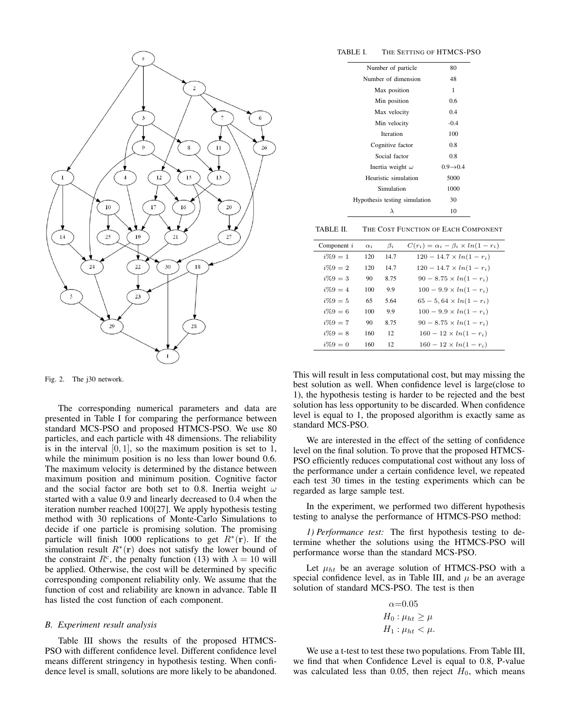

Fig. 2. The j30 network.

The corresponding numerical parameters and data are presented in Table I for comparing the performance between standard MCS-PSO and proposed HTMCS-PSO. We use 80 particles, and each particle with 48 dimensions. The reliability is in the interval  $[0, 1]$ , so the maximum position is set to 1, while the minimum position is no less than lower bound 0.6. The maximum velocity is determined by the distance between maximum position and minimum position. Cognitive factor and the social factor are both set to 0.8. Inertia weight  $\omega$ started with a value 0.9 and linearly decreased to 0.4 when the iteration number reached 100[27]. We apply hypothesis testing method with 30 replications of Monte-Carlo Simulations to decide if one particle is promising solution. The promising particle will finish 1000 replications to get  $R^*(\mathbf{r})$ . If the simulation result  $R^*(\mathbf{r})$  does not satisfy the lower bound of the constraint  $R<sup>c</sup>$ , the penalty function (13) with  $\lambda = 10$  will be applied. Otherwise, the cost will be determined by specific corresponding component reliability only. We assume that the function of cost and reliability are known in advance. Table II has listed the cost function of each component.

#### *B. Experiment result analysis*

Table III shows the results of the proposed HTMCS-PSO with different confidence level. Different confidence level means different stringency in hypothesis testing. When confidence level is small, solutions are more likely to be abandoned.

| Number of particle            | 80                    |  |  |  |
|-------------------------------|-----------------------|--|--|--|
| Number of dimension           | 48                    |  |  |  |
| Max position                  | 1                     |  |  |  |
| Min position                  | 0.6                   |  |  |  |
| Max velocity                  | 0.4                   |  |  |  |
| Min velocity                  | $-0.4$                |  |  |  |
| Iteration                     | 100                   |  |  |  |
| Cognitive factor              | 0.8                   |  |  |  |
| Social factor                 | 0.8                   |  |  |  |
| Inertia weight $\omega$       | $0.9 \rightarrow 0.4$ |  |  |  |
| Heuristic simulation          | 5000                  |  |  |  |
| Simulation                    | 1000                  |  |  |  |
| Hypothesis testing simulation | 30                    |  |  |  |
| λ                             | 10                    |  |  |  |

| TABLE II. |  | THE COST FUNCTION OF EACH COMPONENT |
|-----------|--|-------------------------------------|
|           |  |                                     |

| Component $i$ | $\alpha_i$ | $\beta_i$ | $C(r_i) = \alpha_i - \beta_i \times ln(1 - r_i)$ |
|---------------|------------|-----------|--------------------------------------------------|
| $i\%9 = 1$    | 120        | 14.7      | $120 - 14.7 \times ln(1 - r_i)$                  |
| $i\%9 = 2$    | 120        | 14.7      | $120 - 14.7 \times ln(1 - r_i)$                  |
| $i\%9 = 3$    | 90         | 8.75      | $90-8.75 \times ln(1-r_i)$                       |
| $i\%9 = 4$    | 100        | 9.9       | $100 - 9.9 \times ln(1 - r_i)$                   |
| $i\%9 = 5$    | 65         | 5.64      | $65-5, 64 \times ln(1-r_i)$                      |
| $i\%9 = 6$    | 100        | 9.9       | $100 - 9.9 \times ln(1 - r_i)$                   |
| $i\%9 = 7$    | 90         | 8.75      | $90-8.75 \times ln(1-r_i)$                       |
| $i\%9 = 8$    | 160        | 12        | $160 - 12 \times ln(1 - r_i)$                    |
| $i\%9 = 0$    | 160        | 12        | $160 - 12 \times ln(1 - r_i)$                    |

This will result in less computational cost, but may missing the best solution as well. When confidence level is large(close to 1), the hypothesis testing is harder to be rejected and the best solution has less opportunity to be discarded. When confidence level is equal to 1, the proposed algorithm is exactly same as standard MCS-PSO.

We are interested in the effect of the setting of confidence level on the final solution. To prove that the proposed HTMCS-PSO efficiently reduces computational cost without any loss of the performance under a certain confidence level, we repeated each test 30 times in the testing experiments which can be regarded as large sample test.

In the experiment, we performed two different hypothesis testing to analyse the performance of HTMCS-PSO method:

*1) Performance test:* The first hypothesis testing to determine whether the solutions using the HTMCS-PSO will performance worse than the standard MCS-PSO.

Let  $\mu_{ht}$  be an average solution of HTMCS-PSO with a special confidence level, as in Table III, and  $\mu$  be an average solution of standard MCS-PSO. The test is then

$$
\alpha=0.05
$$
  
\n
$$
H_0: \mu_{ht} \ge \mu
$$
  
\n
$$
H_1: \mu_{ht} < \mu.
$$

We use a t-test to test these two populations. From Table III, we find that when Confidence Level is equal to 0.8, P-value was calculated less than 0.05, then reject  $H_0$ , which means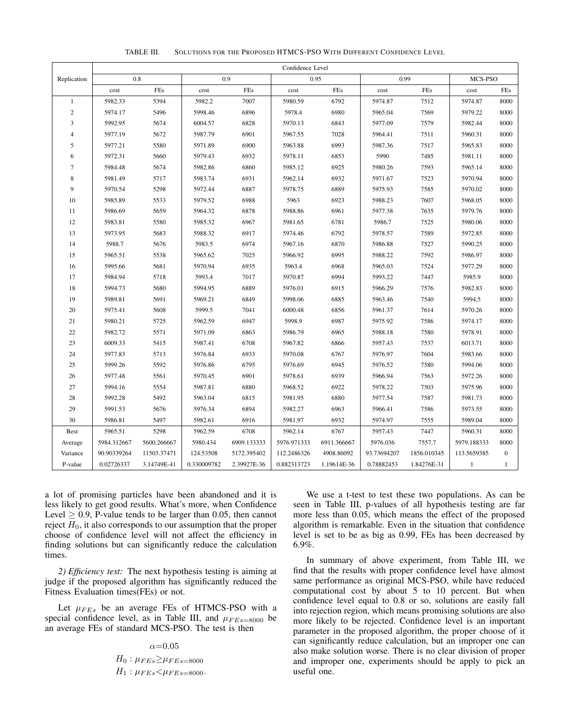| SOLUTIONS FOR THE PROPOSED HTMCS-PSO WITH DIFFERENT CONFIDENCE LEVEL<br>TABLE III. |
|------------------------------------------------------------------------------------|
|------------------------------------------------------------------------------------|

|                | Confidence Level |             |             |             |             |             |             |             |             |              |  |
|----------------|------------------|-------------|-------------|-------------|-------------|-------------|-------------|-------------|-------------|--------------|--|
| Replication    |                  | 0.8         |             | 0.9         |             | 0.95        |             | 0.99        |             | MCS-PSO      |  |
|                | cost             | FEs         | cost        | FEs         | cost        | FEs         | cost        | <b>FEs</b>  | cost        | FEs          |  |
| $\mathbf{1}$   | 5982.33          | 5394        | 5982.2      | 7007        | 5980.59     | 6792        | 5974.87     | 7512        | 5974.87     | 8000         |  |
| $\overline{2}$ | 5974.17          | 5496        | 5998.46     | 6896        | 5978.4      | 6980        | 5965.04     | 7569        | 5979.22     | 8000         |  |
| 3              | 5992.95          | 5674        | 6004.57     | 6828        | 5970.13     | 6843        | 5977.09     | 7579        | 5982.44     | 8000         |  |
| $\overline{4}$ | 5977.19          | 5672        | 5987.79     | 6901        | 5967.55     | 7028        | 5964.41     | 7511        | 5960.31     | 8000         |  |
| 5              | 5977.21          | 5580        | 5971.89     | 6900        | 5963.88     | 6993        | 5987.36     | 7517        | 5965.83     | 8000         |  |
| 6              | 5972.31          | 5660        | 5979.43     | 6932        | 5978.11     | 6853        | 5990        | 7485        | 5981.11     | 8000         |  |
| $\overline{7}$ | 5984.48          | 5674        | 5982.86     | 6860        | 5985.12     | 6925        | 5980.26     | 7593        | 5965.14     | 8000         |  |
| 8              | 5981.49          | 5717        | 5983.74     | 6931        | 5962.14     | 6932        | 5971.67     | 7523        | 5970.94     | 8000         |  |
| 9              | 5970.54          | 5298        | 5972.44     | 6887        | 5978.75     | 6889        | 5975.93     | 7585        | 5970.02     | 8000         |  |
| 10             | 5985.89          | 5533        | 5979.52     | 6988        | 5963        | 6923        | 5988.23     | 7607        | 5968.05     | 8000         |  |
| 11             | 5986.69          | 5659        | 5964.32     | 6878        | 5988.86     | 6961        | 5977.38     | 7635        | 5979.76     | 8000         |  |
| 12             | 5983.81          | 5580        | 5985.32     | 6967        | 5981.65     | 6781        | 5986.7      | 7525        | 5980.06     | 8000         |  |
| 13             | 5973.95          | 5683        | 5988.32     | 6917        | 5974.46     | 6792        | 5978.57     | 7589        | 5972.85     | 8000         |  |
| 14             | 5988.7           | 5676        | 5983.5      | 6974        | 5967.16     | 6870        | 5986.88     | 7527        | 5990.25     | 8000         |  |
| 15             | 5965.51          | 5538        | 5965.62     | 7025        | 5966.92     | 6995        | 5988.22     | 7592        | 5986.97     | 8000         |  |
| 16             | 5995.66          | 5681        | 5970.94     | 6935        | 5963.4      | 6968        | 5965.03     | 7524        | 5977.29     | 8000         |  |
| 17             | 5984.94          | 5718        | 5993.4      | 7017        | 5970.87     | 6994        | 5993.22     | 7447        | 5985.9      | 8000         |  |
| 18             | 5994.73          | 5680        | 5994.95     | 6889        | 5976.01     | 6915        | 5966.29     | 7576        | 5982.83     | 8000         |  |
| 19             | 5989.81          | 5691        | 5969.21     | 6849        | 5998.06     | 6885        | 5963.46     | 7540        | 5994.5      | 8000         |  |
| 20             | 5975.41          | 5608        | 5999.5      | 7041        | 6000.48     | 6856        | 5961.37     | 7614        | 5970.26     | 8000         |  |
| 21             | 5980.21          | 5725        | 5962.59     | 6947        | 5998.9      | 6987        | 5975.92     | 7586        | 5974.17     | 8000         |  |
| $22\,$         | 5982.72          | 5571        | 5971.09     | 6863        | 5986.79     | 6965        | 5988.18     | 7580        | 5978.91     | 8000         |  |
| 23             | 6009.33          | 5415        | 5987.41     | 6708        | 5967.82     | 6866        | 5957.43     | 7537        | 6013.71     | 8000         |  |
| 24             | 5977.83          | 5713        | 5976.84     | 6933        | 5970.08     | 6767        | 5976.97     | 7604        | 5983.66     | 8000         |  |
| 25             | 5999.26          | 5592        | 5976.86     | 6795        | 5976.69     | 6945        | 5976.52     | 7580        | 5994.06     | 8000         |  |
| 26             | 5977.48          | 5561        | 5970.45     | 6901        | 5978.61     | 6939        | 5966.94     | 7563        | 5972.26     | 8000         |  |
| 27             | 5994.16          | 5554        | 5987.81     | 6880        | 5968.52     | 6922        | 5978.22     | 7503        | 5975.96     | 8000         |  |
| 28             | 5992.28          | 5492        | 5963.04     | 6815        | 5981.95     | 6880        | 5977.54     | 7587        | 5981.73     | 8000         |  |
| 29             | 5991.53          | 5676        | 5976.34     | 6894        | 5982.27     | 6963        | 5966.41     | 7586        | 5973.55     | 8000         |  |
| 30             | 5986.81          | 5497        | 5982.61     | 6916        | 5981.97     | 6932        | 5974.97     | 7555        | 5989.04     | 8000         |  |
| Best           | 5965.51          | 5298        | 5962.59     | 6708        | 5962.14     | 6767        | 5957.43     | 7447        | 5960.31     | 8000         |  |
| Average        | 5984.312667      | 5600.266667 | 5980.434    | 6909.133333 | 5976.971333 | 6911.366667 | 5976.036    | 7557.7      | 5979.188333 | 8000         |  |
| Variance       | 90.90339264      | 11503.37471 | 124.53508   | 5172.395402 | 112.2486326 | 4908.86092  | 93.73694207 | 1856.010345 | 113.5659385 | $\mathbf{0}$ |  |
| P-value        | 0.02726337       | 3.14749E-41 | 0.330009782 | 2.39927E-36 | 0.882313723 | 1.19614E-36 | 0.78882453  | 1.84276E-31 | 1           | 1            |  |

a lot of promising particles have been abandoned and it is less likely to get good results. What's more, when Confidence Level  $\geq$  0.9, P-value tends to be larger than 0.05, then cannot reject  $H_0$ , it also corresponds to our assumption that the proper choose of confidence level will not affect the efficiency in finding solutions but can significantly reduce the calculation times.

*2) Efficiency test:* The next hypothesis testing is aiming at judge if the proposed algorithm has significantly reduced the Fitness Evaluation times(FEs) or not.

Let  $\mu_{FEs}$  be an average FEs of HTMCS-PSO with a special confidence level, as in Table III, and  $\mu_{FEs=8000}$  be an average FEs of standard MCS-PSO. The test is then

#### $\alpha$ =0.05

 $H_0: \mu_{FEs} \geq \mu_{FEs=8000}$  $H_1: \mu_{FEs} < \mu_{FEs=8000}.$ 

We use a t-test to test these two populations. As can be seen in Table III, p-values of all hypothesis testing are far more less than 0.05, which means the effect of the proposed algorithm is remarkable. Even in the situation that confidence level is set to be as big as 0.99, FEs has been decreased by 6.9%.

In summary of above experiment, from Table III, we find that the results with proper confidence level have almost same performance as original MCS-PSO, while have reduced computational cost by about 5 to 10 percent. But when confidence level equal to 0.8 or so, solutions are easily fall into rejection region, which means promising solutions are also more likely to be rejected. Confidence level is an important parameter in the proposed algorithm, the proper choose of it can significantly reduce calculation, but an improper one can also make solution worse. There is no clear division of proper and improper one, experiments should be apply to pick an useful one.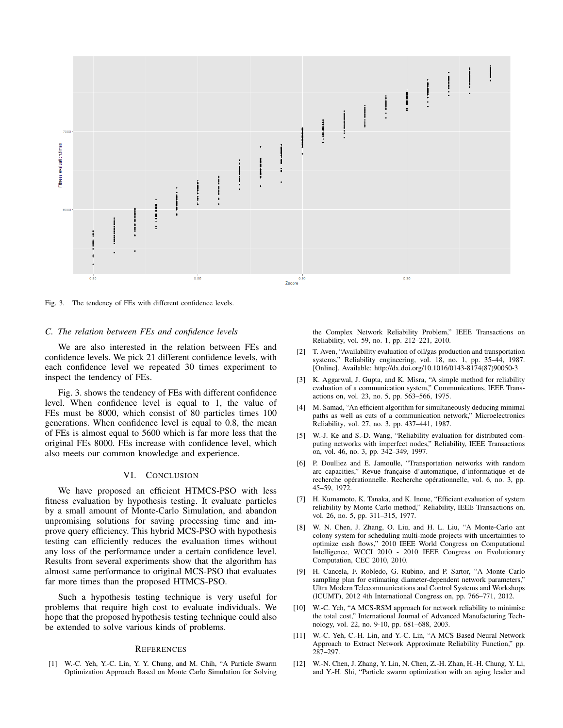

Fig. 3. The tendency of FEs with different confidence levels.

#### *C. The relation between FEs and confidence levels*

We are also interested in the relation between FEs and confidence levels. We pick 21 different confidence levels, with each confidence level we repeated 30 times experiment to inspect the tendency of FEs.

Fig. 3. shows the tendency of FEs with different confidence level. When confidence level is equal to 1, the value of FEs must be 8000, which consist of 80 particles times 100 generations. When confidence level is equal to 0.8, the mean of FEs is almost equal to 5600 which is far more less that the original FEs 8000. FEs increase with confidence level, which also meets our common knowledge and experience.

## VI. CONCLUSION

We have proposed an efficient HTMCS-PSO with less fitness evaluation by hypothesis testing. It evaluate particles by a small amount of Monte-Carlo Simulation, and abandon unpromising solutions for saving processing time and improve query efficiency. This hybrid MCS-PSO with hypothesis testing can efficiently reduces the evaluation times without any loss of the performance under a certain confidence level. Results from several experiments show that the algorithm has almost same performance to original MCS-PSO that evaluates far more times than the proposed HTMCS-PSO.

Such a hypothesis testing technique is very useful for problems that require high cost to evaluate individuals. We hope that the proposed hypothesis testing technique could also be extended to solve various kinds of problems.

#### **REFERENCES**

[1] W.-C. Yeh, Y.-C. Lin, Y. Y. Chung, and M. Chih, "A Particle Swarm Optimization Approach Based on Monte Carlo Simulation for Solving the Complex Network Reliability Problem," IEEE Transactions on Reliability, vol. 59, no. 1, pp. 212–221, 2010.

- [2] T. Aven, "Availability evaluation of oil/gas production and transportation systems," Reliability engineering, vol. 18, no. 1, pp. 35–44, 1987. [Online]. Available: http://dx.doi.org/10.1016/0143-8174(87)90050-3
- [3] K. Aggarwal, J. Gupta, and K. Misra, "A simple method for reliability evaluation of a communication system," Communications, IEEE Transactions on, vol. 23, no. 5, pp. 563–566, 1975.
- [4] M. Samad, "An efficient algorithm for simultaneously deducing minimal paths as well as cuts of a communication network," Microelectronics Reliability, vol. 27, no. 3, pp. 437–441, 1987.
- [5] W.-J. Ke and S.-D. Wang, "Reliability evaluation for distributed computing networks with imperfect nodes," Reliability, IEEE Transactions on, vol. 46, no. 3, pp. 342–349, 1997.
- [6] P. Doulliez and E. Jamoulle, "Transportation networks with random arc capacities," Revue française d'automatique, d'informatique et de recherche opérationnelle. Recherche opérationnelle, vol. 6, no. 3, pp. 45–59, 1972.
- [7] H. Kumamoto, K. Tanaka, and K. Inoue, "Efficient evaluation of system reliability by Monte Carlo method," Reliability, IEEE Transactions on, vol. 26, no. 5, pp. 311–315, 1977.
- [8] W. N. Chen, J. Zhang, O. Liu, and H. L. Liu, "A Monte-Carlo ant colony system for scheduling multi-mode projects with uncertainties to optimize cash flows," 2010 IEEE World Congress on Computational Intelligence, WCCI 2010 - 2010 IEEE Congress on Evolutionary Computation, CEC 2010, 2010.
- [9] H. Cancela, F. Robledo, G. Rubino, and P. Sartor, "A Monte Carlo sampling plan for estimating diameter-dependent network parameters," Ultra Modern Telecommunications and Control Systems and Workshops (ICUMT), 2012 4th International Congress on, pp. 766–771, 2012.
- [10] W.-C. Yeh, "A MCS-RSM approach for network reliability to minimise the total cost," International Journal of Advanced Manufacturing Technology, vol. 22, no. 9-10, pp. 681–688, 2003.
- [11] W.-C. Yeh, C.-H. Lin, and Y.-C. Lin, "A MCS Based Neural Network Approach to Extract Network Approximate Reliability Function," pp. 287–297.
- [12] W.-N. Chen, J. Zhang, Y. Lin, N. Chen, Z.-H. Zhan, H.-H. Chung, Y. Li, and Y.-H. Shi, "Particle swarm optimization with an aging leader and